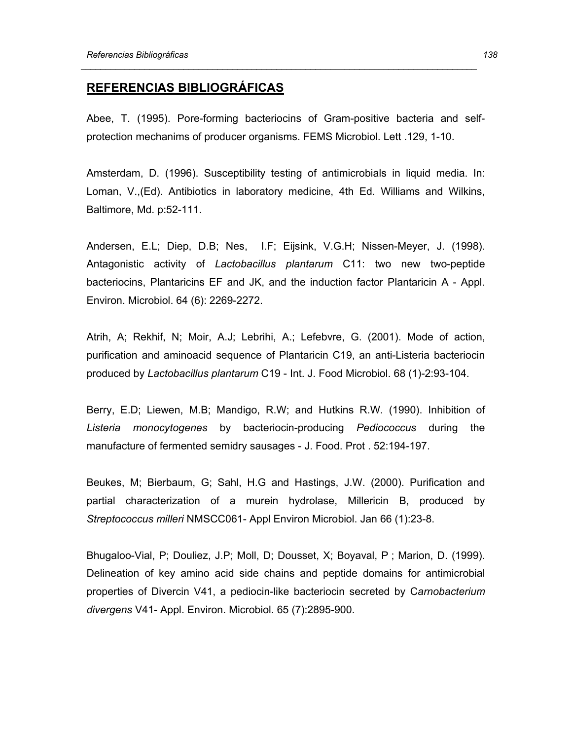## **REFERENCIAS BIBLIOGRÁFICAS**

Abee, T. (1995). Pore-forming bacteriocins of Gram-positive bacteria and selfprotection mechanims of producer organisms. FEMS Microbiol. Lett .129, 1-10.

 *\_\_\_\_\_\_\_\_\_\_\_\_\_\_\_\_\_\_\_\_\_\_\_\_\_\_\_\_\_\_\_\_\_\_\_\_\_\_\_\_\_\_\_\_\_\_\_\_\_\_\_\_\_\_\_\_\_\_\_\_\_\_\_\_\_\_\_\_\_\_\_\_\_\_\_\_\_\_\_\_\_* 

Amsterdam, D. (1996). Susceptibility testing of antimicrobials in liquid media. In: Loman, V.,(Ed). Antibiotics in laboratory medicine, 4th Ed. Williams and Wilkins, Baltimore, Md. p:52-111.

Andersen, E.L; Diep, D.B; Nes, I.F; Eijsink, V.G.H; Nissen-Meyer, J. (1998). Antagonistic activity of *Lactobacillus plantarum* C11: two new two-peptide bacteriocins, Plantaricins EF and JK, and the induction factor Plantaricin A - Appl. Environ. Microbiol. 64 (6): 2269-2272.

Atrih, A; Rekhif, N; Moir, A.J; Lebrihi, A.; Lefebvre, G. (2001). Mode of action, purification and aminoacid sequence of Plantaricin C19, an anti-Listeria bacteriocin produced by *Lactobacillus plantarum* C19 - Int. J. Food Microbiol. 68 (1)-2:93-104.

Berry, E.D; Liewen, M.B; Mandigo, R.W; and Hutkins R.W. (1990). Inhibition of *Listeria monocytogenes* by bacteriocin-producing *Pediococcus* during the manufacture of fermented semidry sausages - J. Food. Prot . 52:194-197.

Beukes, M; Bierbaum, G; Sahl, H.G and Hastings, J.W. (2000). Purification and partial characterization of a murein hydrolase, Millericin B, produced by *Streptococcus milleri* NMSCC061- Appl Environ Microbiol. Jan 66 (1):23-8.

Bhugaloo-Vial, P; Douliez, J.P; Moll, D; Dousset, X; Boyaval, P ; Marion, D. (1999). Delineation of key amino acid side chains and peptide domains for antimicrobial properties of Divercin V41, a pediocin-like bacteriocin secreted by C*arnobacterium divergens* V41- Appl. Environ. Microbiol. 65 (7):2895-900.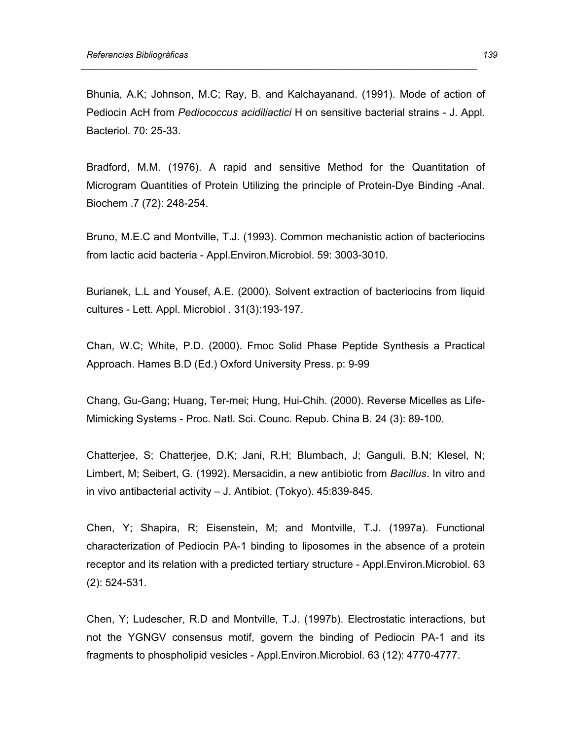Bhunia, A.K; Johnson, M.C; Ray, B. and Kalchayanand. (1991). Mode of action of Pediocin AcH from *Pediococcus acidiliactici* H on sensitive bacterial strains - J. Appl. Bacteriol. 70: 25-33.

 *\_\_\_\_\_\_\_\_\_\_\_\_\_\_\_\_\_\_\_\_\_\_\_\_\_\_\_\_\_\_\_\_\_\_\_\_\_\_\_\_\_\_\_\_\_\_\_\_\_\_\_\_\_\_\_\_\_\_\_\_\_\_\_\_\_\_\_\_\_\_\_\_\_\_\_\_\_\_\_\_\_* 

Bradford, M.M. (1976). A rapid and sensitive Method for the Quantitation of Microgram Quantities of Protein Utilizing the principle of Protein-Dye Binding -Anal. Biochem .7 (72): 248-254.

Bruno, M.E.C and Montville, T.J. (1993). Common mechanistic action of bacteriocins from lactic acid bacteria - Appl.Environ.Microbiol. 59: 3003-3010.

Burianek, L.L and Yousef, A.E. (2000). Solvent extraction of bacteriocins from liquid cultures - Lett. Appl. Microbiol . 31(3):193-197.

Chan, W.C; White, P.D. (2000). Fmoc Solid Phase Peptide Synthesis a Practical Approach. Hames B.D (Ed.) Oxford University Press. p: 9-99

Chang, Gu-Gang; Huang, Ter-mei; Hung, Hui-Chih. (2000). Reverse Micelles as Life-Mimicking Systems - Proc. Natl. Sci. Counc. Repub. China B. 24 (3): 89-100.

Chatterjee, S; Chatterjee, D.K; Jani, R.H; Blumbach, J; Ganguli, B.N; Klesel, N; Limbert, M; Seibert, G. (1992). Mersacidin, a new antibiotic from *Bacillus*. In vitro and in vivo antibacterial activity – J. Antibiot. (Tokyo). 45:839-845.

Chen, Y; Shapira, R; Eisenstein, M; and Montville, T.J. (1997a). Functional characterization of Pediocin PA-1 binding to liposomes in the absence of a protein receptor and its relation with a predicted tertiary structure - Appl.Environ.Microbiol. 63 (2): 524-531.

Chen, Y; Ludescher, R.D and Montville, T.J. (1997b). Electrostatic interactions, but not the YGNGV consensus motif, govern the binding of Pediocin PA-1 and its fragments to phospholipid vesicles - Appl.Environ.Microbiol. 63 (12): 4770-4777.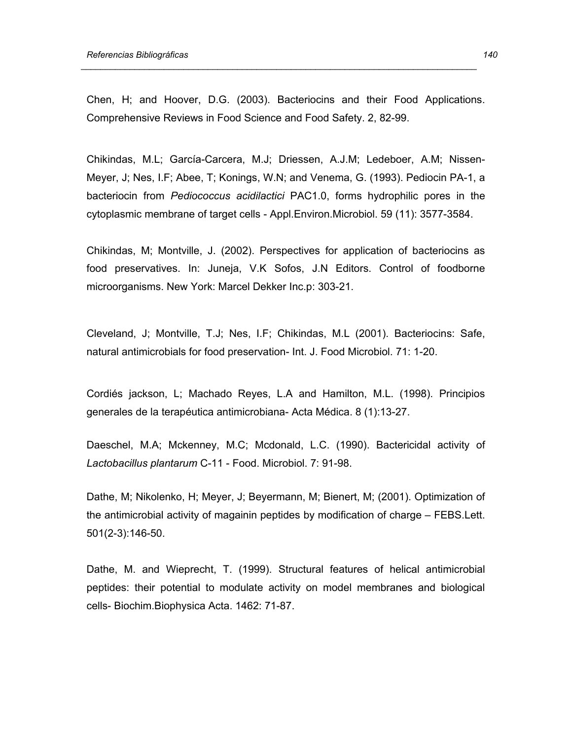Chen, H; and Hoover, D.G. (2003). Bacteriocins and their Food Applications. Comprehensive Reviews in Food Science and Food Safety. 2, 82-99.

 *\_\_\_\_\_\_\_\_\_\_\_\_\_\_\_\_\_\_\_\_\_\_\_\_\_\_\_\_\_\_\_\_\_\_\_\_\_\_\_\_\_\_\_\_\_\_\_\_\_\_\_\_\_\_\_\_\_\_\_\_\_\_\_\_\_\_\_\_\_\_\_\_\_\_\_\_\_\_\_\_\_* 

Chikindas, M.L; García-Carcera, M.J; Driessen, A.J.M; Ledeboer, A.M; Nissen-Meyer, J; Nes, I.F; Abee, T; Konings, W.N; and Venema, G. (1993). Pediocin PA-1, a bacteriocin from *Pediococcus acidilactici* PAC1.0, forms hydrophilic pores in the cytoplasmic membrane of target cells - Appl.Environ.Microbiol. 59 (11): 3577-3584.

Chikindas, M; Montville, J. (2002). Perspectives for application of bacteriocins as food preservatives. In: Juneja, V.K Sofos, J.N Editors. Control of foodborne microorganisms. New York: Marcel Dekker Inc.p: 303-21.

Cleveland, J; Montville, T.J; Nes, I.F; Chikindas, M.L (2001). Bacteriocins: Safe, natural antimicrobials for food preservation- Int. J. Food Microbiol. 71: 1-20.

Cordiés jackson, L; Machado Reyes, L.A and Hamilton, M.L. (1998). Principios generales de la terapéutica antimicrobiana- Acta Médica. 8 (1):13-27.

Daeschel, M.A; Mckenney, M.C; Mcdonald, L.C. (1990). Bactericidal activity of *Lactobacillus plantarum* C-11 - Food. Microbiol. 7: 91-98.

Dathe, M; Nikolenko, H; Meyer, J; Beyermann, M; Bienert, M; (2001). Optimization of the antimicrobial activity of magainin peptides by modification of charge – FEBS.Lett. 501(2-3):146-50.

Dathe, M. and Wieprecht, T. (1999). Structural features of helical antimicrobial peptides: their potential to modulate activity on model membranes and biological cells- Biochim.Biophysica Acta. 1462: 71-87.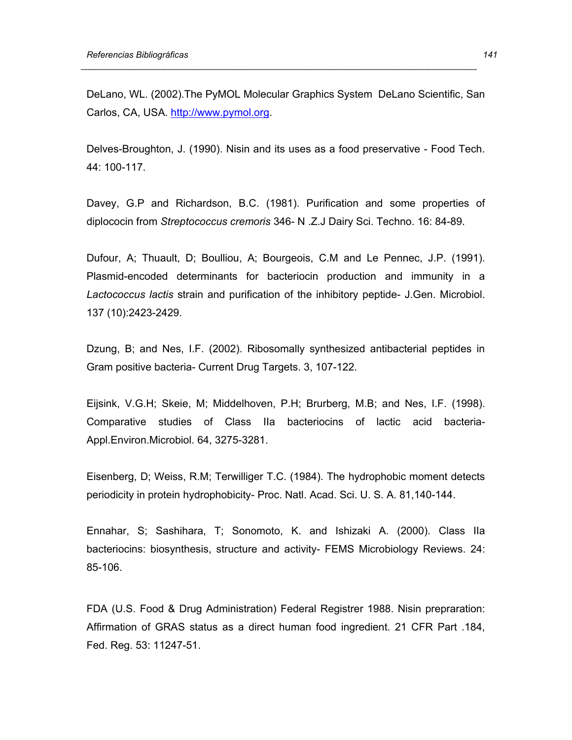DeLano, WL. (2002).The PyMOL Molecular Graphics System DeLano Scientific, San Carlos, CA, USA. http://www.pymol.org.

 *\_\_\_\_\_\_\_\_\_\_\_\_\_\_\_\_\_\_\_\_\_\_\_\_\_\_\_\_\_\_\_\_\_\_\_\_\_\_\_\_\_\_\_\_\_\_\_\_\_\_\_\_\_\_\_\_\_\_\_\_\_\_\_\_\_\_\_\_\_\_\_\_\_\_\_\_\_\_\_\_\_* 

Delves-Broughton, J. (1990). Nisin and its uses as a food preservative - Food Tech. 44: 100-117.

Davey, G.P and Richardson, B.C. (1981). Purification and some properties of diplococin from *Streptococcus cremoris* 346- N .Z.J Dairy Sci. Techno. 16: 84-89.

Dufour, A; Thuault, D; Boulliou, A; Bourgeois, C.M and Le Pennec, J.P. (1991). Plasmid-encoded determinants for bacteriocin production and immunity in a *Lactococcus lactis* strain and purification of the inhibitory peptide- J.Gen. Microbiol. 137 (10):2423-2429.

Dzung, B; and Nes, I.F. (2002). Ribosomally synthesized antibacterial peptides in Gram positive bacteria- Current Drug Targets. 3, 107-122.

Eijsink, V.G.H; Skeie, M; Middelhoven, P.H; Brurberg, M.B; and Nes, I.F. (1998). Comparative studies of Class IIa bacteriocins of lactic acid bacteria-Appl.Environ.Microbiol. 64, 3275-3281.

Eisenberg, D; Weiss, R.M; Terwilliger T.C. (1984). The hydrophobic moment detects periodicity in protein hydrophobicity- Proc. Natl. Acad. Sci. U. S. A. 81,140-144.

Ennahar, S; Sashihara, T; Sonomoto, K. and Ishizaki A. (2000). Class IIa bacteriocins: biosynthesis, structure and activity- FEMS Microbiology Reviews. 24: 85-106.

FDA (U.S. Food & Drug Administration) Federal Registrer 1988. Nisin prepraration: Affirmation of GRAS status as a direct human food ingredient. 21 CFR Part .184, Fed. Reg. 53: 11247-51.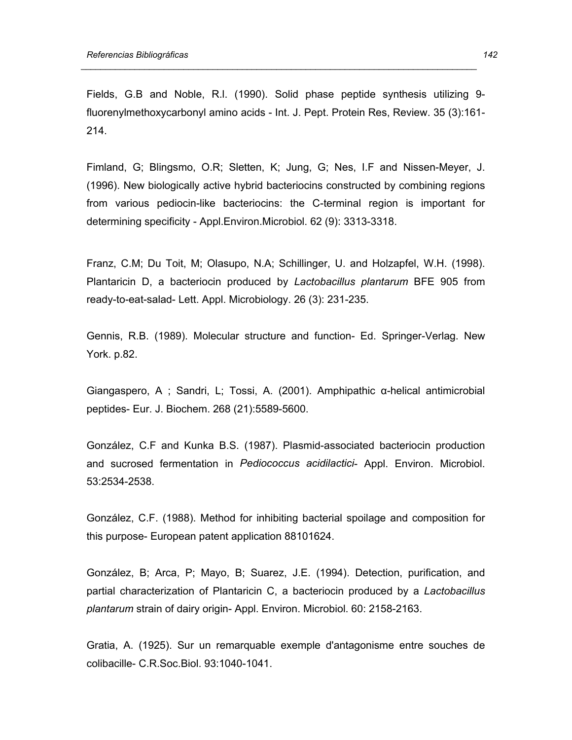Fields, G.B and Noble, R.l. (1990). Solid phase peptide synthesis utilizing 9 fluorenylmethoxycarbonyl amino acids - Int. J. Pept. Protein Res, Review. 35 (3):161- 214.

 *\_\_\_\_\_\_\_\_\_\_\_\_\_\_\_\_\_\_\_\_\_\_\_\_\_\_\_\_\_\_\_\_\_\_\_\_\_\_\_\_\_\_\_\_\_\_\_\_\_\_\_\_\_\_\_\_\_\_\_\_\_\_\_\_\_\_\_\_\_\_\_\_\_\_\_\_\_\_\_\_\_* 

Fimland, G; Blingsmo, O.R; Sletten, K; Jung, G; Nes, I.F and Nissen-Meyer, J. (1996). New biologically active hybrid bacteriocins constructed by combining regions from various pediocin-like bacteriocins: the C-terminal region is important for determining specificity - Appl.Environ.Microbiol. 62 (9): 3313-3318.

Franz, C.M; Du Toit, M; Olasupo, N.A; Schillinger, U. and Holzapfel, W.H. (1998). Plantaricin D, a bacteriocin produced by *Lactobacillus plantarum* BFE 905 from ready-to-eat-salad- Lett. Appl. Microbiology. 26 (3): 231-235.

Gennis, R.B. (1989). Molecular structure and function- Ed. Springer-Verlag. New York. p.82.

Giangaspero, A ; Sandri, L; Tossi, A. (2001). Amphipathic α-helical antimicrobial peptides- Eur. J. Biochem. 268 (21):5589-5600.

González, C.F and Kunka B.S. (1987). Plasmid-associated bacteriocin production and sucrosed fermentation in *Pediococcus acidilactici*- Appl. Environ. Microbiol. 53:2534-2538.

González, C.F. (1988). Method for inhibiting bacterial spoilage and composition for this purpose- European patent application 88101624.

González, B; Arca, P; Mayo, B; Suarez, J.E. (1994). Detection, purification, and partial characterization of Plantaricin C, a bacteriocin produced by a *Lactobacillus plantarum* strain of dairy origin- Appl. Environ. Microbiol. 60: 2158-2163.

Gratia, A. (1925). Sur un remarquable exemple d'antagonisme entre souches de colibacille- C.R.Soc.Biol. 93:1040-1041.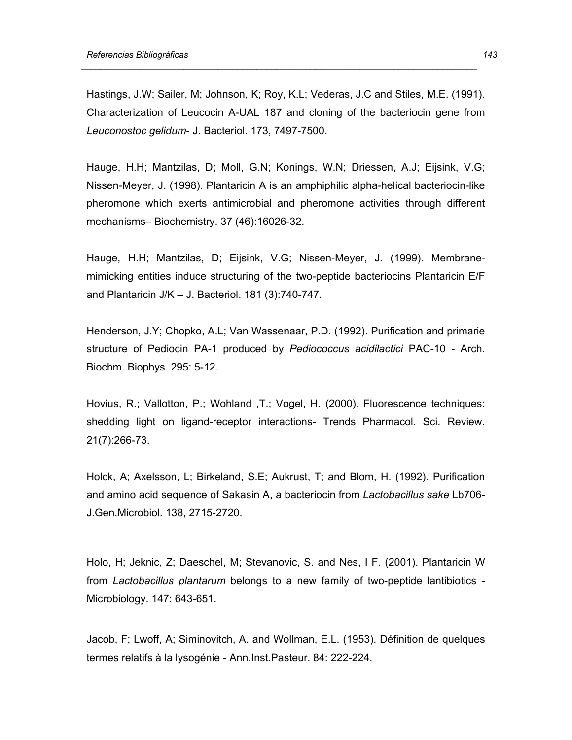Hastings, J.W; Sailer, M; Johnson, K; Roy, K.L; Vederas, J.C and Stiles, M.E. (1991). Characterization of Leucocin A-UAL 187 and cloning of the bacteriocin gene from *Leuconostoc gelidum*- J. Bacteriol. 173, 7497-7500.

 *\_\_\_\_\_\_\_\_\_\_\_\_\_\_\_\_\_\_\_\_\_\_\_\_\_\_\_\_\_\_\_\_\_\_\_\_\_\_\_\_\_\_\_\_\_\_\_\_\_\_\_\_\_\_\_\_\_\_\_\_\_\_\_\_\_\_\_\_\_\_\_\_\_\_\_\_\_\_\_\_\_* 

Hauge, H.H; Mantzilas, D; Moll, G.N; Konings, W.N; Driessen, A.J; Eijsink, V.G; Nissen-Meyer, J. (1998). Plantaricin A is an amphiphilic alpha-helical bacteriocin-like pheromone which exerts antimicrobial and pheromone activities through different mechanisms– Biochemistry. 37 (46):16026-32.

Hauge, H.H; Mantzilas, D; Eijsink, V.G; Nissen-Meyer, J. (1999). Membranemimicking entities induce structuring of the two-peptide bacteriocins Plantaricin E/F and Plantaricin J/K – J. Bacteriol. 181 (3):740-747.

Henderson, J.Y; Chopko, A.L; Van Wassenaar, P.D. (1992). Purification and primarie structure of Pediocin PA-1 produced by *Pediococcus acidilactici* PAC-10 - Arch. Biochm. Biophys. 295: 5-12.

Hovius, R.; Vallotton, P.; Wohland ,T.; Vogel, H. (2000). Fluorescence techniques: shedding light on ligand-receptor interactions- Trends Pharmacol. Sci. Review. 21(7):266-73.

Holck, A; Axelsson, L; Birkeland, S.E; Aukrust, T; and Blom, H. (1992). Purification and amino acid sequence of Sakasin A, a bacteriocin from *Lactobacillus sake* Lb706- J.Gen.Microbiol. 138, 2715-2720.

Holo, H; Jeknic, Z; Daeschel, M; Stevanovic, S. and Nes, I F. (2001). Plantaricin W from *Lactobacillus plantarum* belongs to a new family of two-peptide lantibiotics - Microbiology. 147: 643-651.

Jacob, F; Lwoff, A; Siminovitch, A. and Wollman, E.L. (1953). Définition de quelques termes relatifs à la lysogénie - Ann.Inst.Pasteur. 84: 222-224.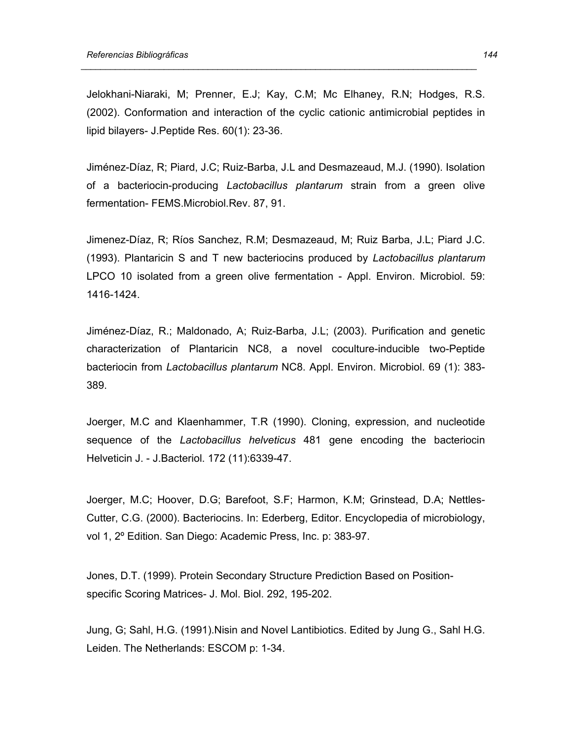Jelokhani-Niaraki, M; Prenner, E.J; Kay, C.M; Mc Elhaney, R.N; Hodges, R.S. (2002). Conformation and interaction of the cyclic cationic antimicrobial peptides in lipid bilayers- J.Peptide Res. 60(1): 23-36.

 *\_\_\_\_\_\_\_\_\_\_\_\_\_\_\_\_\_\_\_\_\_\_\_\_\_\_\_\_\_\_\_\_\_\_\_\_\_\_\_\_\_\_\_\_\_\_\_\_\_\_\_\_\_\_\_\_\_\_\_\_\_\_\_\_\_\_\_\_\_\_\_\_\_\_\_\_\_\_\_\_\_* 

Jiménez-Díaz, R; Piard, J.C; Ruiz-Barba, J.L and Desmazeaud, M.J. (1990). Isolation of a bacteriocin-producing *Lactobacillus plantarum* strain from a green olive fermentation- FEMS.Microbiol.Rev. 87, 91.

Jimenez-Díaz, R; Ríos Sanchez, R.M; Desmazeaud, M; Ruiz Barba, J.L; Piard J.C. (1993). Plantaricin S and T new bacteriocins produced by *Lactobacillus plantarum*  LPCO 10 isolated from a green olive fermentation - Appl. Environ. Microbiol. 59: 1416-1424.

Jiménez-Díaz, R.; Maldonado, A; Ruiz-Barba, J.L; (2003). Purification and genetic characterization of Plantaricin NC8, a novel coculture-inducible two-Peptide bacteriocin from *Lactobacillus plantarum* NC8. Appl. Environ. Microbiol. 69 (1): 383- 389.

Joerger, M.C and Klaenhammer, T.R (1990). Cloning, expression, and nucleotide sequence of the *Lactobacillus helveticus* 481 gene encoding the bacteriocin Helveticin J. - J.Bacteriol. 172 (11):6339-47.

Joerger, M.C; Hoover, D.G; Barefoot, S.F; Harmon, K.M; Grinstead, D.A; Nettles-Cutter, C.G. (2000). Bacteriocins. In: Ederberg, Editor. Encyclopedia of microbiology, vol 1, 2º Edition. San Diego: Academic Press, Inc. p: 383-97.

Jones, D.T. (1999). Protein Secondary Structure Prediction Based on Positionspecific Scoring Matrices- J. Mol. Biol. 292, 195-202.

Jung, G; Sahl, H.G. (1991).Nisin and Novel Lantibiotics. Edited by Jung G., Sahl H.G. Leiden. The Netherlands: ESCOM p: 1-34.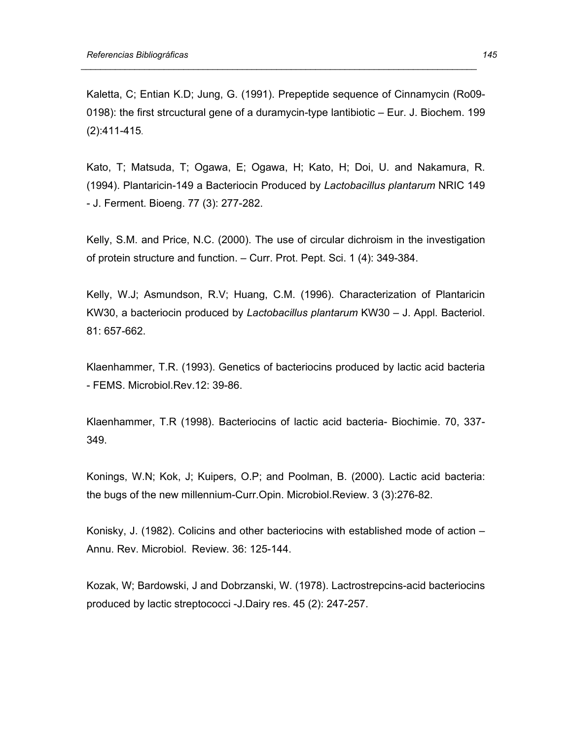Kaletta, C; Entian K.D; Jung, G. (1991). Prepeptide sequence of Cinnamycin (Ro09- 0198): the first strcuctural gene of a duramycin-type lantibiotic – Eur. J. Biochem. 199 (2):411-415.

 *\_\_\_\_\_\_\_\_\_\_\_\_\_\_\_\_\_\_\_\_\_\_\_\_\_\_\_\_\_\_\_\_\_\_\_\_\_\_\_\_\_\_\_\_\_\_\_\_\_\_\_\_\_\_\_\_\_\_\_\_\_\_\_\_\_\_\_\_\_\_\_\_\_\_\_\_\_\_\_\_\_* 

Kato, T; Matsuda, T; Ogawa, E; Ogawa, H; Kato, H; Doi, U. and Nakamura, R. (1994). Plantaricin-149 a Bacteriocin Produced by *Lactobacillus plantarum* NRIC 149 - J. Ferment. Bioeng. 77 (3): 277-282.

Kelly, S.M. and Price, N.C. (2000). The use of circular dichroism in the investigation of protein structure and function. – Curr. Prot. Pept. Sci. 1 (4): 349-384.

Kelly, W.J; Asmundson, R.V; Huang, C.M. (1996). Characterization of Plantaricin KW30, a bacteriocin produced by *Lactobacillus plantarum* KW30 – J. Appl. Bacteriol. 81: 657-662.

Klaenhammer, T.R. (1993). Genetics of bacteriocins produced by lactic acid bacteria - FEMS. Microbiol.Rev.12: 39-86.

Klaenhammer, T.R (1998). Bacteriocins of lactic acid bacteria- Biochimie. 70, 337- 349.

Konings, W.N; Kok, J; Kuipers, O.P; and Poolman, B. (2000). Lactic acid bacteria: the bugs of the new millennium-Curr.Opin. Microbiol.Review. 3 (3):276-82.

Konisky, J. (1982). Colicins and other bacteriocins with established mode of action – Annu. Rev. Microbiol. Review. 36: 125-144.

Kozak, W; Bardowski, J and Dobrzanski, W. (1978). Lactrostrepcins-acid bacteriocins produced by lactic streptococci -J.Dairy res. 45 (2): 247-257.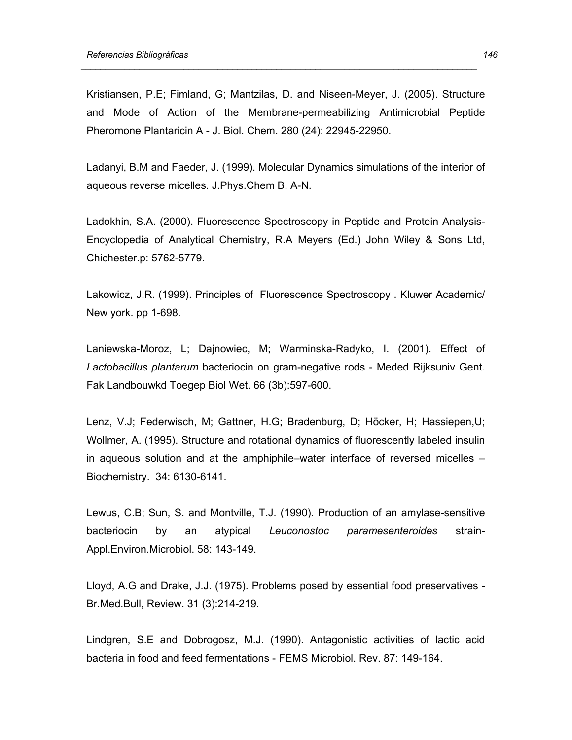Kristiansen, P.E; Fimland, G; Mantzilas, D. and Niseen-Meyer, J. (2005). Structure and Mode of Action of the Membrane-permeabilizing Antimicrobial Peptide Pheromone Plantaricin A - J. Biol. Chem. 280 (24): 22945-22950.

 *\_\_\_\_\_\_\_\_\_\_\_\_\_\_\_\_\_\_\_\_\_\_\_\_\_\_\_\_\_\_\_\_\_\_\_\_\_\_\_\_\_\_\_\_\_\_\_\_\_\_\_\_\_\_\_\_\_\_\_\_\_\_\_\_\_\_\_\_\_\_\_\_\_\_\_\_\_\_\_\_\_* 

Ladanyi, B.M and Faeder, J. (1999). Molecular Dynamics simulations of the interior of aqueous reverse micelles. J.Phys.Chem B. A-N.

Ladokhin, S.A. (2000). Fluorescence Spectroscopy in Peptide and Protein Analysis-Encyclopedia of Analytical Chemistry, R.A Meyers (Ed.) John Wiley & Sons Ltd, Chichester.p: 5762-5779.

Lakowicz, J.R. (1999). Principles of Fluorescence Spectroscopy . Kluwer Academic/ New york. pp 1-698.

Laniewska-Moroz, L; Dajnowiec, M; Warminska-Radyko, I. (2001). Effect of *Lactobacillus plantarum* bacteriocin on gram-negative rods - Meded Rijksuniv Gent. Fak Landbouwkd Toegep Biol Wet. 66 (3b):597-600.

Lenz, V.J; Federwisch, M; Gattner, H.G; Bradenburg, D; Höcker, H; Hassiepen,U; Wollmer, A. (1995). Structure and rotational dynamics of fluorescently labeled insulin in aqueous solution and at the amphiphile–water interface of reversed micelles – Biochemistry. 34: 6130-6141.

Lewus, C.B; Sun, S. and Montville, T.J. (1990). Production of an amylase-sensitive bacteriocin by an atypical *Leuconostoc paramesenteroides* strain-Appl.Environ.Microbiol. 58: 143-149.

Lloyd, A.G and Drake, J.J. (1975). Problems posed by essential food preservatives - Br.Med.Bull, Review. 31 (3):214-219.

Lindgren, S.E and Dobrogosz, M.J. (1990). Antagonistic activities of lactic acid bacteria in food and feed fermentations - FEMS Microbiol. Rev. 87: 149-164.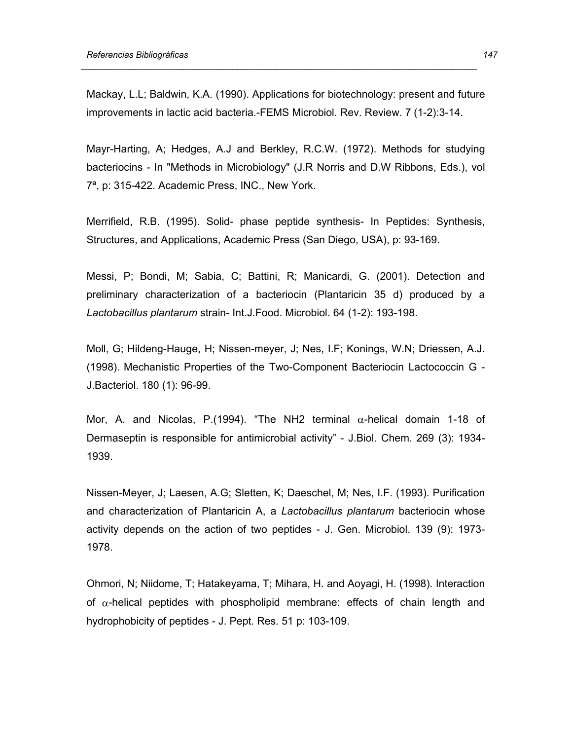Mackay, L.L; Baldwin, K.A. (1990). Applications for biotechnology: present and future improvements in lactic acid bacteria.-FEMS Microbiol. Rev. Review. 7 (1-2):3-14.

 *\_\_\_\_\_\_\_\_\_\_\_\_\_\_\_\_\_\_\_\_\_\_\_\_\_\_\_\_\_\_\_\_\_\_\_\_\_\_\_\_\_\_\_\_\_\_\_\_\_\_\_\_\_\_\_\_\_\_\_\_\_\_\_\_\_\_\_\_\_\_\_\_\_\_\_\_\_\_\_\_\_* 

Mayr-Harting, A; Hedges, A.J and Berkley, R.C.W. (1972). Methods for studying bacteriocins - In "Methods in Microbiology" (J.R Norris and D.W Ribbons, Eds.), vol 7ª, p: 315-422. Academic Press, INC., New York.

Merrifield, R.B. (1995). Solid- phase peptide synthesis- In Peptides: Synthesis, Structures, and Applications, Academic Press (San Diego, USA), p: 93-169.

Messi, P; Bondi, M; Sabia, C; Battini, R; Manicardi, G. (2001). Detection and preliminary characterization of a bacteriocin (Plantaricin 35 d) produced by a *Lactobacillus plantarum* strain- Int.J.Food. Microbiol. 64 (1-2): 193-198.

Moll, G; Hildeng-Hauge, H; Nissen-meyer, J; Nes, I.F; Konings, W.N; Driessen, A.J. (1998). Mechanistic Properties of the Two-Component Bacteriocin Lactococcin G - J.Bacteriol. 180 (1): 96-99.

Mor, A. and Nicolas, P.(1994). "The NH2 terminal  $\alpha$ -helical domain 1-18 of Dermaseptin is responsible for antimicrobial activity" - J.Biol. Chem. 269 (3): 1934- 1939.

Nissen-Meyer, J; Laesen, A.G; Sletten, K; Daeschel, M; Nes, I.F. (1993). Purification and characterization of Plantaricin A, a *Lactobacillus plantarum* bacteriocin whose activity depends on the action of two peptides - J. Gen. Microbiol. 139 (9): 1973- 1978.

Ohmori, N; Niidome, T; Hatakeyama, T; Mihara, H. and Aoyagi, H. (1998). Interaction of  $\alpha$ -helical peptides with phospholipid membrane: effects of chain length and hydrophobicity of peptides - J. Pept. Res*.* 51 p: 103-109.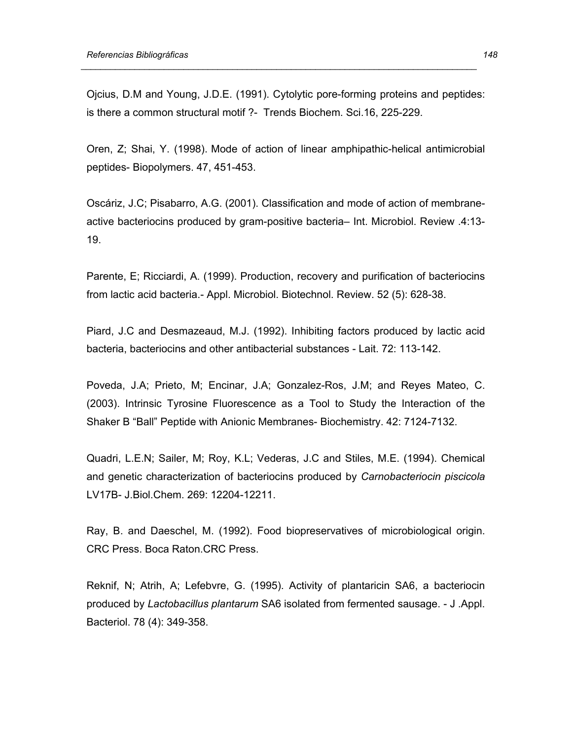Ojcius, D.M and Young, J.D.E. (1991). Cytolytic pore-forming proteins and peptides: is there a common structural motif ?- Trends Biochem. Sci.16, 225-229.

 *\_\_\_\_\_\_\_\_\_\_\_\_\_\_\_\_\_\_\_\_\_\_\_\_\_\_\_\_\_\_\_\_\_\_\_\_\_\_\_\_\_\_\_\_\_\_\_\_\_\_\_\_\_\_\_\_\_\_\_\_\_\_\_\_\_\_\_\_\_\_\_\_\_\_\_\_\_\_\_\_\_* 

Oren, Z; Shai, Y. (1998). Mode of action of linear amphipathic-helical antimicrobial peptides- Biopolymers. 47, 451-453.

Oscáriz, J.C; Pisabarro, A.G. (2001). Classification and mode of action of membraneactive bacteriocins produced by gram-positive bacteria– Int. Microbiol. Review .4:13- 19.

Parente, E; Ricciardi, A. (1999). Production, recovery and purification of bacteriocins from lactic acid bacteria.- Appl. Microbiol. Biotechnol. Review. 52 (5): 628-38.

Piard, J.C and Desmazeaud, M.J. (1992). Inhibiting factors produced by lactic acid bacteria, bacteriocins and other antibacterial substances - Lait. 72: 113-142.

Poveda, J.A; Prieto, M; Encinar, J.A; Gonzalez-Ros, J.M; and Reyes Mateo, C. (2003). Intrinsic Tyrosine Fluorescence as a Tool to Study the Interaction of the Shaker B "Ball" Peptide with Anionic Membranes- Biochemistry. 42: 7124-7132.

Quadri, L.E.N; Sailer, M; Roy, K.L; Vederas, J.C and Stiles, M.E. (1994). Chemical and genetic characterization of bacteriocins produced by *Carnobacteriocin piscicola* LV17B- J.Biol.Chem. 269: 12204-12211.

Ray, B. and Daeschel, M. (1992). Food biopreservatives of microbiological origin. CRC Press. Boca Raton.CRC Press.

Reknif, N; Atrih, A; Lefebvre, G. (1995). Activity of plantaricin SA6, a bacteriocin produced by *Lactobacillus plantarum* SA6 isolated from fermented sausage. - J .Appl. Bacteriol. 78 (4): 349-358.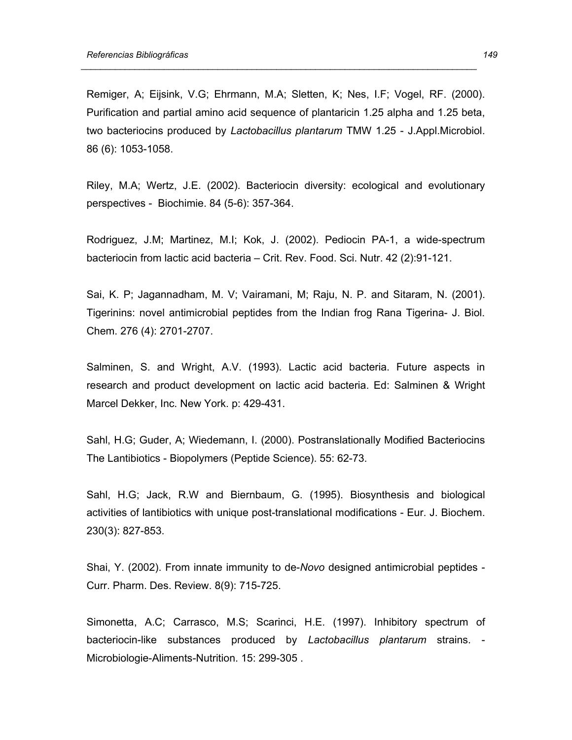Remiger, A; Eijsink, V.G; Ehrmann, M.A; Sletten, K; Nes, I.F; Vogel, RF. (2000). Purification and partial amino acid sequence of plantaricin 1.25 alpha and 1.25 beta, two bacteriocins produced by *Lactobacillus plantarum* TMW 1.25 - J.Appl.Microbiol. 86 (6): 1053-1058.

 *\_\_\_\_\_\_\_\_\_\_\_\_\_\_\_\_\_\_\_\_\_\_\_\_\_\_\_\_\_\_\_\_\_\_\_\_\_\_\_\_\_\_\_\_\_\_\_\_\_\_\_\_\_\_\_\_\_\_\_\_\_\_\_\_\_\_\_\_\_\_\_\_\_\_\_\_\_\_\_\_\_* 

Riley, M.A; Wertz, J.E. (2002). Bacteriocin diversity: ecological and evolutionary perspectives - Biochimie. 84 (5-6): 357-364.

Rodriguez, J.M; Martinez, M.I; Kok, J. (2002). Pediocin PA-1, a wide-spectrum bacteriocin from lactic acid bacteria – Crit. Rev. Food. Sci. Nutr. 42 (2):91-121.

Sai, K. P; Jagannadham, M. V; Vairamani, M; Raju, N. P. and Sitaram, N. (2001). Tigerinins: novel antimicrobial peptides from the Indian frog Rana Tigerina- J. Biol. Chem. 276 (4): 2701-2707.

Salminen, S. and Wright, A.V. (1993). Lactic acid bacteria. Future aspects in research and product development on lactic acid bacteria. Ed: Salminen & Wright Marcel Dekker, Inc. New York. p: 429-431.

Sahl, H.G; Guder, A; Wiedemann, I. (2000). Postranslationally Modified Bacteriocins The Lantibiotics - Biopolymers (Peptide Science). 55: 62-73.

Sahl, H.G; Jack, R.W and Biernbaum, G. (1995). Biosynthesis and biological activities of lantibiotics with unique post-translational modifications - Eur. J. Biochem. 230(3): 827-853.

Shai, Y. (2002). From innate immunity to de-*Novo* designed antimicrobial peptides - Curr. Pharm. Des. Review. 8(9): 715-725.

Simonetta, A.C; Carrasco, M.S; Scarinci, H.E. (1997). Inhibitory spectrum of bacteriocin-like substances produced by *Lactobacillus plantarum* strains. - Microbiologie-Aliments-Nutrition. 15: 299-305 .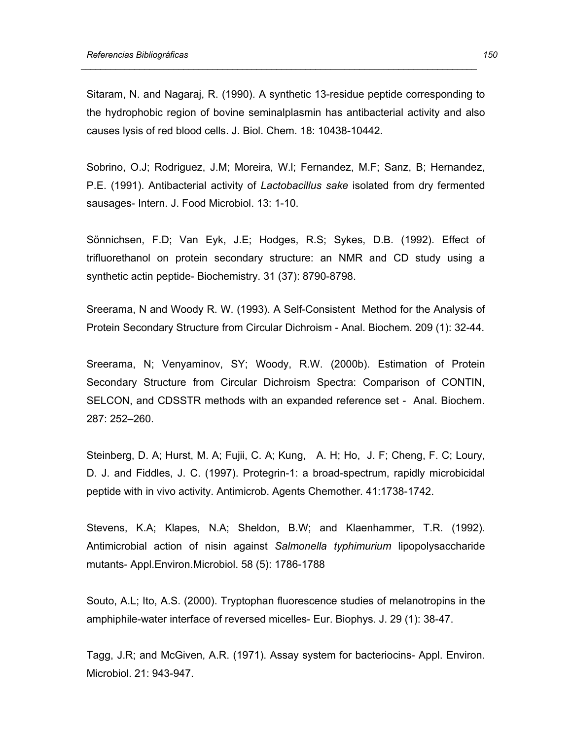Sitaram, N. and Nagaraj, R. (1990). A synthetic 13-residue peptide corresponding to the hydrophobic region of bovine seminalplasmin has antibacterial activity and also causes lysis of red blood cells. J. Biol. Chem*.* 18: 10438-10442.

 *\_\_\_\_\_\_\_\_\_\_\_\_\_\_\_\_\_\_\_\_\_\_\_\_\_\_\_\_\_\_\_\_\_\_\_\_\_\_\_\_\_\_\_\_\_\_\_\_\_\_\_\_\_\_\_\_\_\_\_\_\_\_\_\_\_\_\_\_\_\_\_\_\_\_\_\_\_\_\_\_\_* 

Sobrino, O.J; Rodriguez, J.M; Moreira, W.l; Fernandez, M.F; Sanz, B; Hernandez, P.E. (1991). Antibacterial activity of *Lactobacillus sake* isolated from dry fermented sausages- Intern. J. Food Microbiol. 13: 1-10.

Sönnichsen, F.D; Van Eyk, J.E; Hodges, R.S; Sykes, D.B. (1992). Effect of trifluorethanol on protein secondary structure: an NMR and CD study using a synthetic actin peptide- Biochemistry. 31 (37): 8790-8798.

Sreerama, N and Woody R. W. (1993). A Self-Consistent Method for the Analysis of Protein Secondary Structure from Circular Dichroism - Anal. Biochem. 209 (1): 32-44.

Sreerama, N; Venyaminov, SY; Woody, R.W. (2000b). Estimation of Protein Secondary Structure from Circular Dichroism Spectra: Comparison of CONTIN, SELCON, and CDSSTR methods with an expanded reference set - Anal. Biochem. 287: 252–260.

Steinberg, D. A; Hurst, M. A; Fujii, C. A; Kung, A. H; Ho, J. F; Cheng, F. C; Loury, D. J. and Fiddles, J. C. (1997). Protegrin-1: a broad-spectrum, rapidly microbicidal peptide with in vivo activity. Antimicrob. Agents Chemother*.* 41:1738-1742.

Stevens, K.A; Klapes, N.A; Sheldon, B.W; and Klaenhammer, T.R. (1992). Antimicrobial action of nisin against *Salmonella typhimurium* lipopolysaccharide mutants- Appl.Environ.Microbiol. 58 (5): 1786-1788

Souto, A.L; Ito, A.S. (2000). Tryptophan fluorescence studies of melanotropins in the amphiphile-water interface of reversed micelles- Eur. Biophys. J. 29 (1): 38-47.

Tagg, J.R; and McGiven, A.R. (1971). Assay system for bacteriocins- Appl. Environ. Microbiol. 21: 943-947.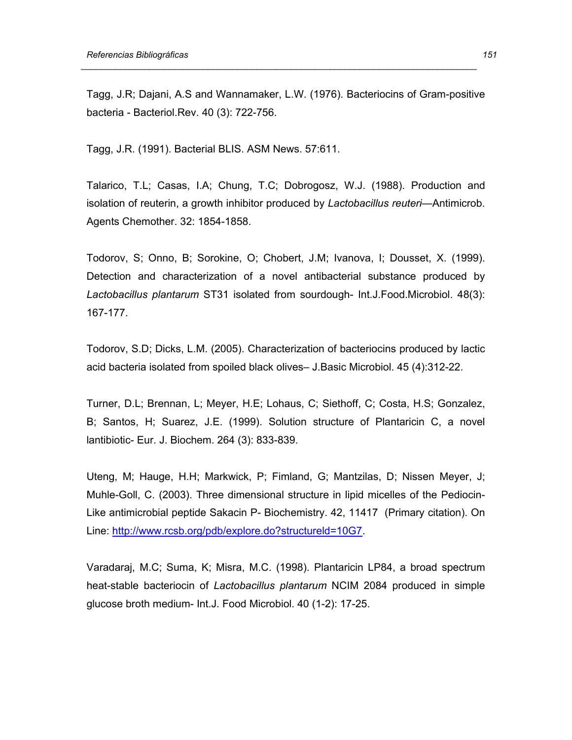Tagg, J.R; Dajani, A.S and Wannamaker, L.W. (1976). Bacteriocins of Gram-positive bacteria - Bacteriol.Rev. 40 (3): 722-756.

 *\_\_\_\_\_\_\_\_\_\_\_\_\_\_\_\_\_\_\_\_\_\_\_\_\_\_\_\_\_\_\_\_\_\_\_\_\_\_\_\_\_\_\_\_\_\_\_\_\_\_\_\_\_\_\_\_\_\_\_\_\_\_\_\_\_\_\_\_\_\_\_\_\_\_\_\_\_\_\_\_\_* 

Tagg, J.R. (1991). Bacterial BLIS. ASM News. 57:611.

Talarico, T.L; Casas, I.A; Chung, T.C; Dobrogosz, W.J. (1988). Production and isolation of reuterin, a growth inhibitor produced by *Lactobacillus reuteri—*Antimicrob. Agents Chemother. 32: 1854-1858.

Todorov, S; Onno, B; Sorokine, O; Chobert, J.M; Ivanova, I; Dousset, X. (1999). Detection and characterization of a novel antibacterial substance produced by *Lactobacillus plantarum* ST31 isolated from sourdough- Int.J.Food.Microbiol. 48(3): 167-177.

Todorov, S.D; Dicks, L.M. (2005). Characterization of bacteriocins produced by lactic acid bacteria isolated from spoiled black olives– J.Basic Microbiol. 45 (4):312-22.

Turner, D.L; Brennan, L; Meyer, H.E; Lohaus, C; Siethoff, C; Costa, H.S; Gonzalez, B; Santos, H; Suarez, J.E. (1999). Solution structure of Plantaricin C, a novel lantibiotic- Eur. J. Biochem. 264 (3): 833-839.

Uteng, M; Hauge, H.H; Markwick, P; Fimland, G; Mantzilas, D; Nissen Meyer, J; Muhle-Goll, C. (2003). Three dimensional structure in lipid micelles of the Pediocin-Like antimicrobial peptide Sakacin P- Biochemistry. 42, 11417 (Primary citation). On Line: http://www.rcsb.org/pdb/explore.do?structureld=10G7.

Varadaraj, M.C; Suma, K; Misra, M.C. (1998). Plantaricin LP84, a broad spectrum heat-stable bacteriocin of *Lactobacillus plantarum* NCIM 2084 produced in simple glucose broth medium- Int.J. Food Microbiol. 40 (1-2): 17-25.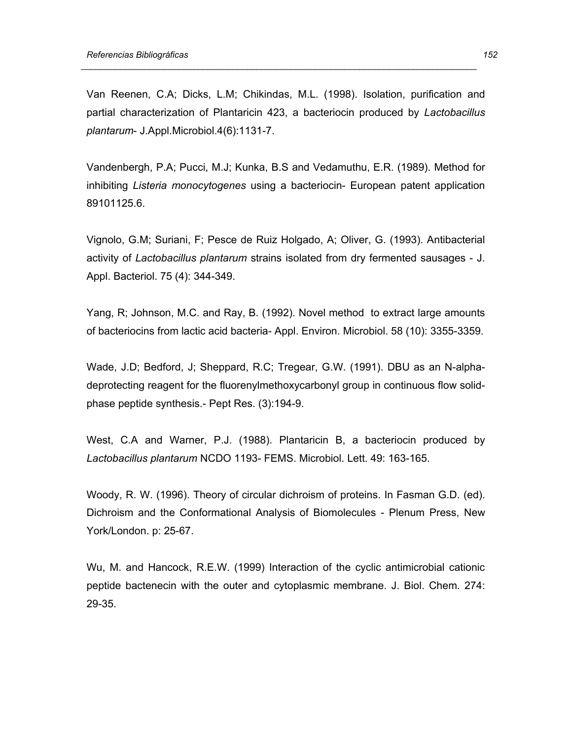Van Reenen, C.A; Dicks, L.M; Chikindas, M.L. (1998). Isolation, purification and partial characterization of Plantaricin 423, a bacteriocin produced by *Lactobacillus plantarum*- J.Appl.Microbiol.4(6):1131-7.

 *\_\_\_\_\_\_\_\_\_\_\_\_\_\_\_\_\_\_\_\_\_\_\_\_\_\_\_\_\_\_\_\_\_\_\_\_\_\_\_\_\_\_\_\_\_\_\_\_\_\_\_\_\_\_\_\_\_\_\_\_\_\_\_\_\_\_\_\_\_\_\_\_\_\_\_\_\_\_\_\_\_* 

Vandenbergh, P.A; Pucci, M.J; Kunka, B.S and Vedamuthu, E.R. (1989). Method for inhibiting *Listeria monocytogenes* using a bacteriocin- European patent application 89101125.6.

Vignolo, G.M; Suriani, F; Pesce de Ruiz Holgado, A; Oliver, G. (1993). Antibacterial activity of *Lactobacillus plantarum* strains isolated from dry fermented sausages - J. Appl. Bacteriol. 75 (4): 344-349.

Yang, R; Johnson, M.C. and Ray, B. (1992). Novel method to extract large amounts of bacteriocins from lactic acid bacteria- Appl. Environ. Microbiol. 58 (10): 3355-3359.

Wade, J.D; Bedford, J; Sheppard, R.C; Tregear, G.W. (1991). DBU as an N-alphadeprotecting reagent for the fluorenylmethoxycarbonyl group in continuous flow solidphase peptide synthesis.- Pept Res. (3):194-9.

West, C.A and Warner, P.J. (1988). Plantaricin B, a bacteriocin produced by *Lactobacillus plantarum* NCDO 1193- FEMS. Microbiol. Lett. 49: 163-165.

Woody, R. W. (1996). Theory of circular dichroism of proteins. In Fasman G.D. (ed). Dichroism and the Conformational Analysis of Biomolecules - Plenum Press, New York/London. p: 25-67.

Wu, M. and Hancock, R.E.W. (1999) Interaction of the cyclic antimicrobial cationic peptide bactenecin with the outer and cytoplasmic membrane. J. Biol. Chem*.* 274: 29-35.